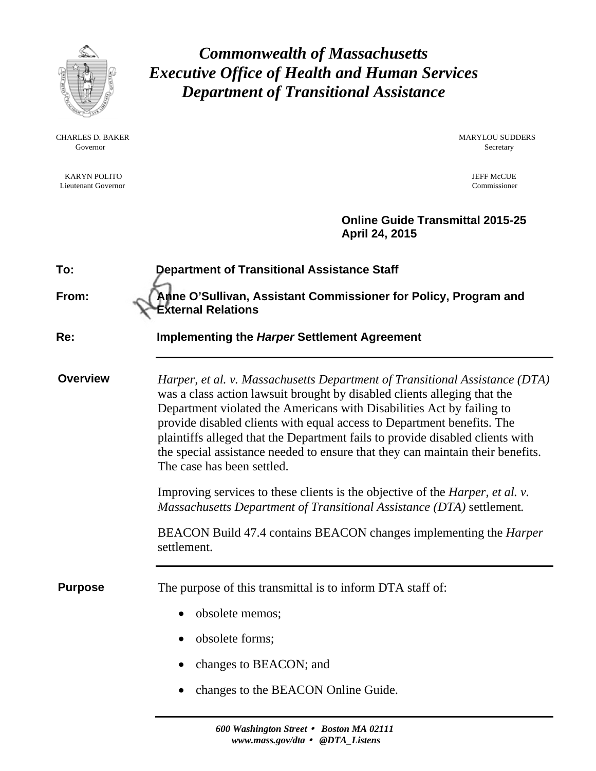

CHARLES D. BAKER MARYLOU SUDDERS Governor Secretary Secretary Secretary Secretary Secretary Secretary Secretary Secretary Secretary Secretary Secretary Secretary Secretary Secretary Secretary Secretary Secretary Secretary Secretary Secretary Secretary Sec

KARYN POLITO JEFF McCUE <br>
Jene Martin Covernor Commissioner Commissioner Commissioner Commissioner Commissioner Lieutenant Governor

*Commonwealth of Massachusetts Executive Office of Health and Human Services Department of Transitional Assistance* 

 **Online Guide Transmittal 2015-25 April 24, 2015** 

| To:             | <b>Department of Transitional Assistance Staff</b>                                                                                                                                                                                                                                                                                                                                                                                                                                                                                                                                                                                                                                                                                                                              |  |  |  |
|-----------------|---------------------------------------------------------------------------------------------------------------------------------------------------------------------------------------------------------------------------------------------------------------------------------------------------------------------------------------------------------------------------------------------------------------------------------------------------------------------------------------------------------------------------------------------------------------------------------------------------------------------------------------------------------------------------------------------------------------------------------------------------------------------------------|--|--|--|
| From:           | Anne O'Sullivan, Assistant Commissioner for Policy, Program and<br><b>External Relations</b>                                                                                                                                                                                                                                                                                                                                                                                                                                                                                                                                                                                                                                                                                    |  |  |  |
| Re:             | <b>Implementing the Harper Settlement Agreement</b>                                                                                                                                                                                                                                                                                                                                                                                                                                                                                                                                                                                                                                                                                                                             |  |  |  |
| <b>Overview</b> | Harper, et al. v. Massachusetts Department of Transitional Assistance (DTA)<br>was a class action lawsuit brought by disabled clients alleging that the<br>Department violated the Americans with Disabilities Act by failing to<br>provide disabled clients with equal access to Department benefits. The<br>plaintiffs alleged that the Department fails to provide disabled clients with<br>the special assistance needed to ensure that they can maintain their benefits.<br>The case has been settled.<br>Improving services to these clients is the objective of the <i>Harper</i> , <i>et al. v.</i><br>Massachusetts Department of Transitional Assistance (DTA) settlement.<br>BEACON Build 47.4 contains BEACON changes implementing the <i>Harper</i><br>settlement. |  |  |  |
| <b>Purpose</b>  | The purpose of this transmittal is to inform DTA staff of:<br>obsolete memos;<br>$\bullet$<br>obsolete forms;<br>changes to BEACON; and<br>changes to the BEACON Online Guide.                                                                                                                                                                                                                                                                                                                                                                                                                                                                                                                                                                                                  |  |  |  |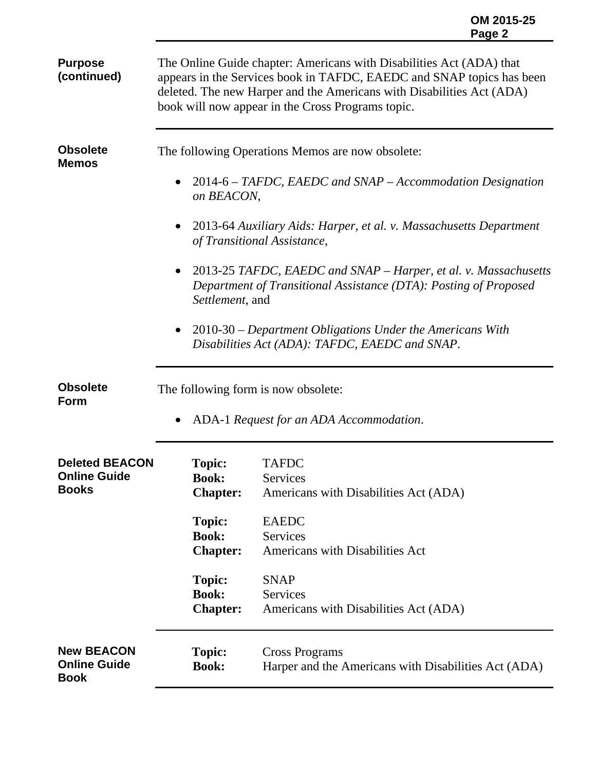|                                                                                                                                                                                                                                                                             | OM 2015-25<br>Page 2 |
|-----------------------------------------------------------------------------------------------------------------------------------------------------------------------------------------------------------------------------------------------------------------------------|----------------------|
| The Online Guide chapter: Americans with Disabilities Act (ADA) that<br>appears in the Services book in TAFDC, EAEDC and SNAP topics has been<br>deleted. The new Harper and the Americans with Disabilities Act (ADA)<br>book will now appear in the Cross Programs topic. |                      |
| The following Operations Memos are now obsolete:                                                                                                                                                                                                                            |                      |
| 2014-6 – TAFDC, EAEDC and SNAP – Accommodation Designation<br>$\bullet$<br>on BEACON,                                                                                                                                                                                       |                      |
| 2013-64 Auxiliary Aids: Harper, et al. v. Massachusetts Department<br>$\bullet$<br>of Transitional Assistance,                                                                                                                                                              |                      |
| 2013-25 TAFDC, EAEDC and SNAP – Harper, et al. v. Massachusetts                                                                                                                                                                                                             |                      |

- $\bullet$  2013-25 *TA*. *Department of Transitional Assistance (DTA): Posting of Proposed Settlement*, and
- 2010-30 *Department Obligations Under the Americans With Disabilities Act (ADA): TAFDC, EAEDC and SNAP*.

**Obsolete Form** 

**Purpose (continued)**

**Obsolete Memos** 

The following form is now obsolete:

ADA-1 *Request for an ADA Accommodation*.

| <b>Deleted BEACON</b><br><b>Online Guide</b><br><b>Books</b> | <b>Topic:</b><br><b>Book:</b><br><b>Chapter:</b> | <b>TAFDC</b><br><b>Services</b><br>Americans with Disabilities Act (ADA)      |
|--------------------------------------------------------------|--------------------------------------------------|-------------------------------------------------------------------------------|
|                                                              | <b>Topic:</b><br><b>Book:</b>                    | <b>EAEDC</b><br><b>Services</b>                                               |
|                                                              | <b>Chapter:</b>                                  | <b>Americans with Disabilities Act</b>                                        |
|                                                              | <b>Topic:</b>                                    | <b>SNAP</b>                                                                   |
|                                                              | <b>Book:</b><br><b>Chapter:</b>                  | <b>Services</b><br>Americans with Disabilities Act (ADA)                      |
| <b>New BEACON</b><br><b>Online Guide</b><br><b>Book</b>      | <b>Topic:</b><br><b>Book:</b>                    | <b>Cross Programs</b><br>Harper and the Americans with Disabilities Act (ADA) |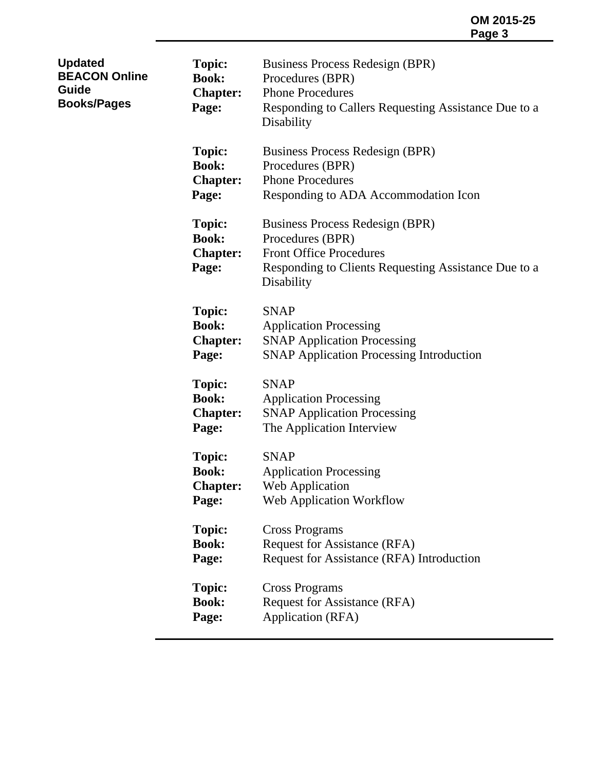| <b>Updated</b><br><b>BEACON Online</b><br>Guide<br><b>Books/Pages</b> | <b>Topic:</b><br><b>Book:</b><br><b>Chapter:</b><br>Page: | Business Process Redesign (BPR)<br>Procedures (BPR)<br><b>Phone Procedures</b><br>Responding to Callers Requesting Assistance Due to a<br>Disability        |
|-----------------------------------------------------------------------|-----------------------------------------------------------|-------------------------------------------------------------------------------------------------------------------------------------------------------------|
|                                                                       | <b>Topic:</b><br><b>Book:</b><br><b>Chapter:</b><br>Page: | Business Process Redesign (BPR)<br>Procedures (BPR)<br><b>Phone Procedures</b><br>Responding to ADA Accommodation Icon                                      |
|                                                                       | <b>Topic:</b><br><b>Book:</b><br><b>Chapter:</b><br>Page: | Business Process Redesign (BPR)<br>Procedures (BPR)<br><b>Front Office Procedures</b><br>Responding to Clients Requesting Assistance Due to a<br>Disability |
|                                                                       | <b>Topic:</b><br><b>Book:</b><br><b>Chapter:</b><br>Page: | <b>SNAP</b><br><b>Application Processing</b><br><b>SNAP Application Processing</b><br><b>SNAP Application Processing Introduction</b>                       |
|                                                                       | <b>Topic:</b><br><b>Book:</b><br><b>Chapter:</b><br>Page: | <b>SNAP</b><br><b>Application Processing</b><br><b>SNAP Application Processing</b><br>The Application Interview                                             |
|                                                                       | <b>Topic:</b><br><b>Book:</b><br><b>Chapter:</b><br>Page: | <b>SNAP</b><br><b>Application Processing</b><br>Web Application<br>Web Application Workflow                                                                 |
|                                                                       | <b>Topic:</b><br><b>Book:</b><br>Page:                    | <b>Cross Programs</b><br><b>Request for Assistance (RFA)</b><br>Request for Assistance (RFA) Introduction                                                   |
|                                                                       | <b>Topic:</b><br><b>Book:</b><br>Page:                    | <b>Cross Programs</b><br><b>Request for Assistance (RFA)</b><br><b>Application (RFA)</b>                                                                    |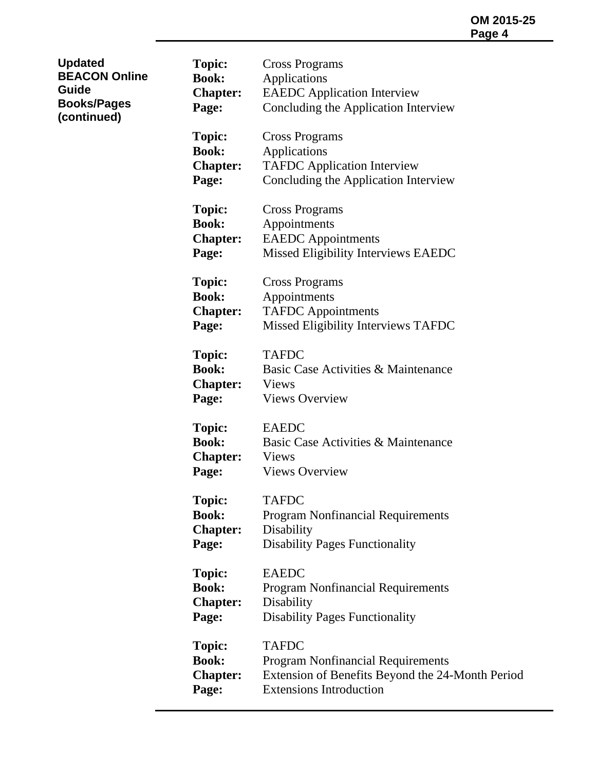| <b>Updated</b><br><b>BEACON Online</b><br>Guide<br><b>Books/Pages</b><br>(continued) | <b>Topic:</b><br><b>Book:</b><br><b>Chapter:</b><br>Page: | <b>Cross Programs</b><br>Applications<br><b>EAEDC</b> Application Interview<br>Concluding the Application Interview                            |
|--------------------------------------------------------------------------------------|-----------------------------------------------------------|------------------------------------------------------------------------------------------------------------------------------------------------|
|                                                                                      | <b>Topic:</b><br><b>Book:</b><br><b>Chapter:</b><br>Page: | <b>Cross Programs</b><br>Applications<br><b>TAFDC</b> Application Interview<br>Concluding the Application Interview                            |
|                                                                                      | <b>Topic:</b><br><b>Book:</b><br><b>Chapter:</b><br>Page: | <b>Cross Programs</b><br>Appointments<br><b>EAEDC</b> Appointments<br>Missed Eligibility Interviews EAEDC                                      |
|                                                                                      | <b>Topic:</b><br><b>Book:</b><br><b>Chapter:</b><br>Page: | <b>Cross Programs</b><br>Appointments<br><b>TAFDC</b> Appointments<br>Missed Eligibility Interviews TAFDC                                      |
|                                                                                      | <b>Topic:</b><br><b>Book:</b><br><b>Chapter:</b><br>Page: | <b>TAFDC</b><br>Basic Case Activities & Maintenance<br><b>Views</b><br><b>Views Overview</b>                                                   |
|                                                                                      | <b>Topic:</b><br><b>Book:</b><br><b>Chapter:</b><br>Page: | <b>EAEDC</b><br>Basic Case Activities & Maintenance<br><b>Views</b><br><b>Views Overview</b>                                                   |
|                                                                                      | <b>Topic:</b><br><b>Book:</b><br><b>Chapter:</b><br>Page: | <b>TAFDC</b><br><b>Program Nonfinancial Requirements</b><br>Disability<br><b>Disability Pages Functionality</b>                                |
|                                                                                      | <b>Topic:</b><br><b>Book:</b><br><b>Chapter:</b><br>Page: | <b>EAEDC</b><br><b>Program Nonfinancial Requirements</b><br>Disability<br><b>Disability Pages Functionality</b>                                |
|                                                                                      | <b>Topic:</b><br><b>Book:</b><br><b>Chapter:</b><br>Page: | <b>TAFDC</b><br><b>Program Nonfinancial Requirements</b><br>Extension of Benefits Beyond the 24-Month Period<br><b>Extensions Introduction</b> |